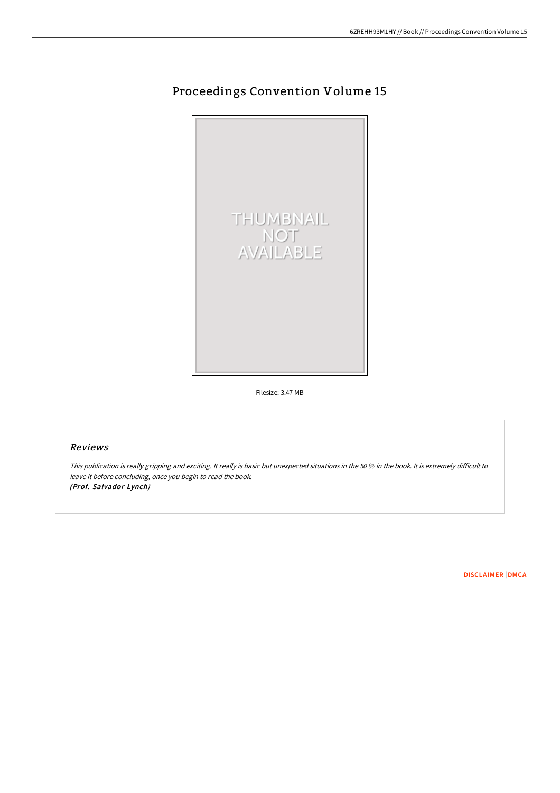# Proceedings Convention Volume 15



Filesize: 3.47 MB

#### Reviews

This publication is really gripping and exciting. It really is basic but unexpected situations in the <sup>50</sup> % in the book. It is extremely difficult to leave it before concluding, once you begin to read the book. (Prof. Salvador Lynch)

[DISCLAIMER](http://www.bookdirs.com/disclaimer.html) | [DMCA](http://www.bookdirs.com/dmca.html)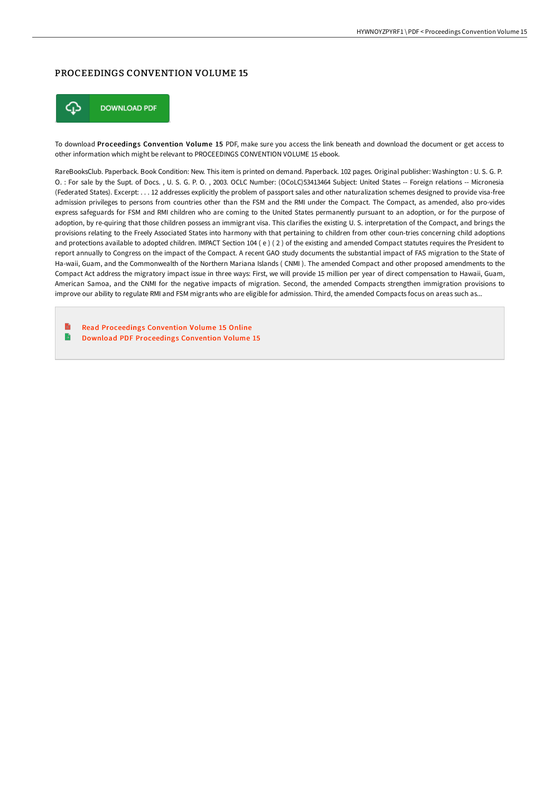## PROCEEDINGS CONVENTION VOLUME 15



To download Proceedings Convention Volume 15 PDF, make sure you access the link beneath and download the document or get access to other information which might be relevant to PROCEEDINGS CONVENTION VOLUME 15 ebook.

RareBooksClub. Paperback. Book Condition: New. This item is printed on demand. Paperback. 102 pages. Original publisher: Washington : U. S. G. P. O. : For sale by the Supt. of Docs., U. S. G. P. O., 2003. OCLC Number: (OCoLC)53413464 Subject: United States -- Foreign relations -- Micronesia (Federated States). Excerpt: . . . 12 addresses explicitly the problem of passport sales and other naturalization schemes designed to provide visa-free admission privileges to persons from countries other than the FSM and the RMI under the Compact. The Compact, as amended, also pro-vides express safeguards for FSM and RMI children who are coming to the United States permanently pursuant to an adoption, or for the purpose of adoption, by re-quiring that those children possess an immigrant visa. This clarifies the existing U. S. interpretation of the Compact, and brings the provisions relating to the Freely Associated States into harmony with that pertaining to children from other coun-tries concerning child adoptions and protections available to adopted children. IMPACT Section 104 ( e ) ( 2 ) of the existing and amended Compact statutes requires the President to report annually to Congress on the impact of the Compact. A recent GAO study documents the substantial impact of FAS migration to the State of Ha-waii, Guam, and the Commonwealth of the Northern Mariana Islands ( CNMI ). The amended Compact and other proposed amendments to the Compact Act address the migratory impact issue in three ways: First, we will provide 15 million per year of direct compensation to Hawaii, Guam, American Samoa, and the CNMI for the negative impacts of migration. Second, the amended Compacts strengthen immigration provisions to improve our ability to regulate RMI and FSM migrants who are eligible for admission. Third, the amended Compacts focus on areas such as...

Read [Proceedings](http://www.bookdirs.com/proceedings-convention-volume-15.html) Convention Volume 15 Online B Download PDF [Proceedings](http://www.bookdirs.com/proceedings-convention-volume-15.html) Convention Volume 15